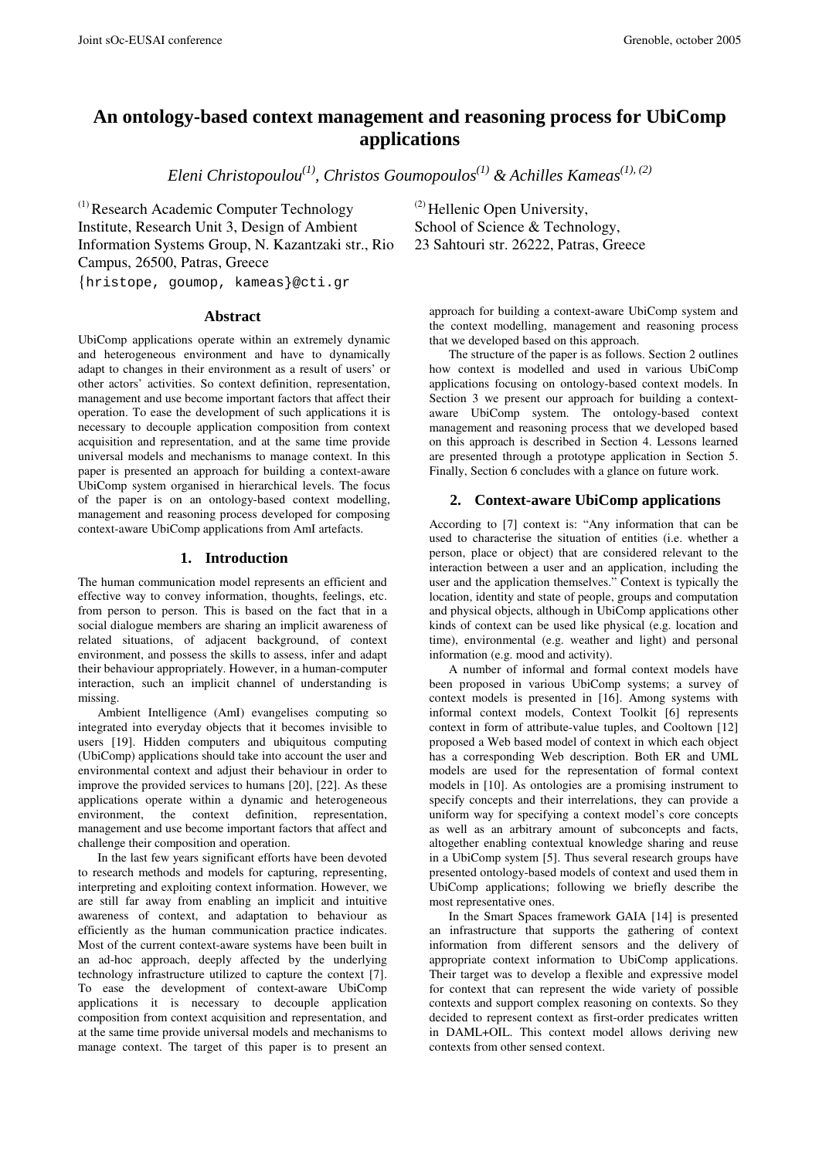# **An ontology-based context management and reasoning process for UbiComp applications**

*Eleni Christopoulou (1) , Christos Goumopoulos (1) & Achilles Kameas (1), (2)*

 $<sup>(1)</sup>$  Research Academic Computer Technology</sup> Institute, Research Unit 3, Design of Ambient Information Systems Group, N. Kazantzaki str., Rio Campus, 26500, Patras, Greece

{hristope, goumop, kameas}@cti.gr

# **Abstract**

UbiComp applications operate within an extremely dynamic and heterogeneous environment and have to dynamically adapt to changes in their environment as a result of users' or other actors' activities. So context definition, representation, management and use become important factors that affect their operation. To ease the development of such applications it is necessary to decouple application composition from context acquisition and representation, and at the same time provide universal models and mechanisms to manage context. In this paper is presented an approach for building a context-aware UbiComp system organised in hierarchical levels. The focus of the paper is on an ontology-based context modelling, management and reasoning process developed for composing context-aware UbiComp applications from AmI artefacts.

## **1. Introduction**

The human communication model represents an efficient and effective way to convey information, thoughts, feelings, etc. from person to person. This is based on the fact that in a social dialogue members are sharing an implicit awareness of related situations, of adjacent background, of context environment, and possess the skills to assess, infer and adapt their behaviour appropriately. However, in a human-computer interaction, such an implicit channel of understanding is missing.

Ambient Intelligence (AmI) evangelises computing so integrated into everyday objects that it becomes invisible to users [19]. Hidden computers and ubiquitous computing (UbiComp) applications should take into account the user and environmental context and adjust their behaviour in order to improve the provided services to humans [20], [22]. As these applications operate within a dynamic and heterogeneous environment, the context definition, representation, management and use become important factors that affect and challenge their composition and operation.

In the last few years significant efforts have been devoted to research methods and models for capturing, representing, interpreting and exploiting context information. However, we are still far away from enabling an implicit and intuitive awareness of context, and adaptation to behaviour as efficiently as the human communication practice indicates. Most of the current context-aware systems have been built in an ad-hoc approach, deeply affected by the underlying technology infrastructure utilized to capture the context [7]. To ease the development of context-aware UbiComp applications it is necessary to decouple application composition from context acquisition and representation, and at the same time provide universal models and mechanisms to manage context. The target of this paper is to present an

(2) Hellenic Open University, School of Science & Technology, 23 Sahtouri str. 26222, Patras, Greece

approach for building a context-aware UbiComp system and the context modelling, management and reasoning process that we developed based on this approach.

The structure of the paper is as follows. Section 2 outlines how context is modelled and used in various UbiComp applications focusing on ontology-based context models. In Section 3 we present our approach for building a contextaware UbiComp system. The ontology-based context management and reasoning process that we developed based on this approach is described in Section 4. Lessons learned are presented through a prototype application in Section 5. Finally, Section 6 concludes with a glance on future work.

### **2. Context-aware UbiComp applications**

According to [7] context is: "Any information that can be used to characterise the situation of entities (i.e. whether a person, place or object) that are considered relevant to the interaction between a user and an application, including the user and the application themselves." Context is typically the location, identity and state of people, groups and computation and physical objects, although in UbiComp applications other kinds of context can be used like physical (e.g. location and time), environmental (e.g. weather and light) and personal information (e.g. mood and activity).

A number of informal and formal context models have been proposed in various UbiComp systems; a survey of context models is presented in [16]. Among systems with informal context models, Context Toolkit [6] represents context in form of attribute-value tuples, and Cooltown [12] proposed a Web based model of context in which each object has a corresponding Web description. Both ER and UML models are used for the representation of formal context models in [10]. As ontologies are a promising instrument to specify concepts and their interrelations, they can provide a uniform way for specifying a context model's core concepts as well as an arbitrary amount of subconcepts and facts, altogether enabling contextual knowledge sharing and reuse in a UbiComp system [5]. Thus several research groups have presented ontology-based models of context and used them in UbiComp applications; following we briefly describe the most representative ones.

In the Smart Spaces framework GAIA [14] is presented an infrastructure that supports the gathering of context information from different sensors and the delivery of appropriate context information to UbiComp applications. Their target was to develop a flexible and expressive model for context that can represent the wide variety of possible contexts and support complex reasoning on contexts. So they decided to represent context as first-order predicates written in DAML+OIL. This context model allows deriving new contexts from other sensed context.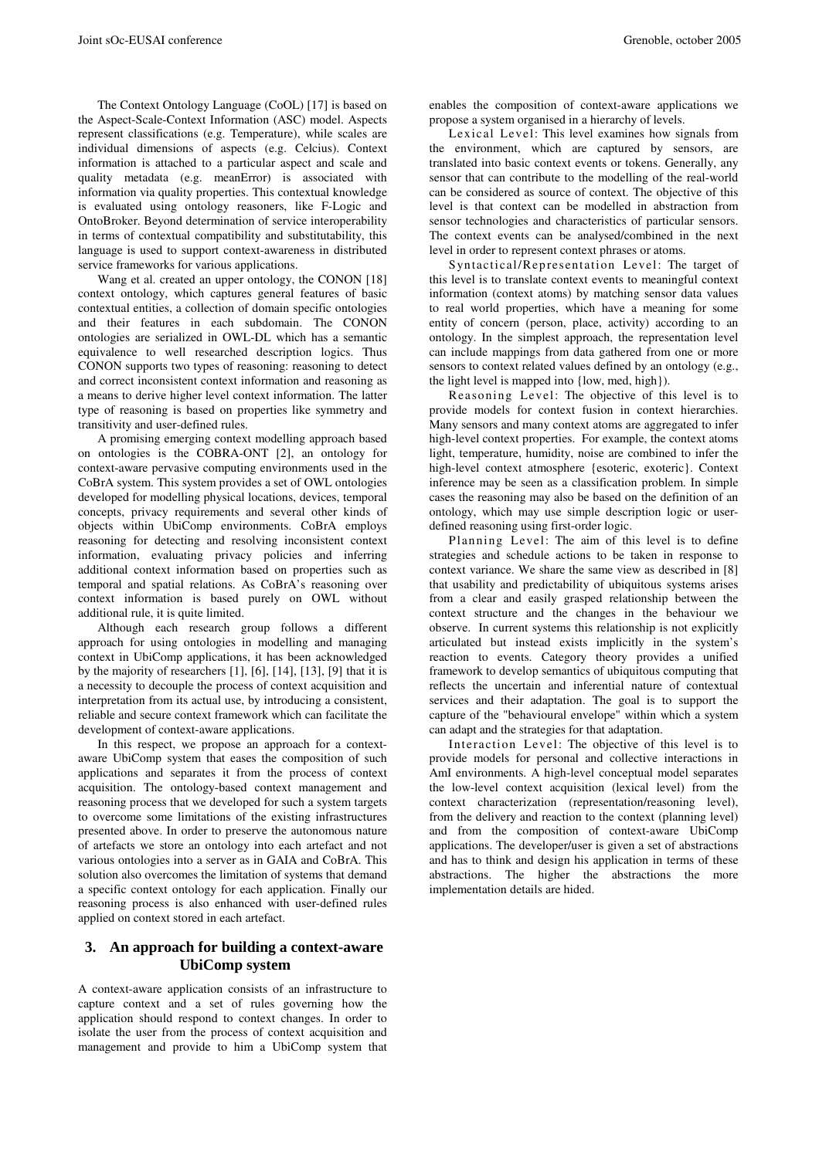The Context Ontology Language (CoOL) [17] is based on the Aspect-Scale-Context Information (ASC) model. Aspects represent classifications (e.g. Temperature), while scales are individual dimensions of aspects (e.g. Celcius). Context information is attached to a particular aspect and scale and quality metadata (e.g. meanError) is associated with information via quality properties. This contextual knowledge is evaluated using ontology reasoners, like F-Logic and OntoBroker. Beyond determination of service interoperability in terms of contextual compatibility and substitutability, this language is used to support context-awareness in distributed service frameworks for various applications.

Wang et al. created an upper ontology, the CONON [18] context ontology, which captures general features of basic contextual entities, a collection of domain specific ontologies and their features in each subdomain. The CONON ontologies are serialized in OWL-DL which has a semantic equivalence to well researched description logics. Thus CONON supports two types of reasoning: reasoning to detect and correct inconsistent context information and reasoning as a means to derive higher level context information. The latter type of reasoning is based on properties like symmetry and transitivity and user-defined rules.

A promising emerging context modelling approach based on ontologies is the COBRA-ONT [2], an ontology for context-aware pervasive computing environments used in the CoBrA system. This system provides a set of OWL ontologies developed for modelling physical locations, devices, temporal concepts, privacy requirements and several other kinds of objects within UbiComp environments. CoBrA employs reasoning for detecting and resolving inconsistent context information, evaluating privacy policies and inferring additional context information based on properties such as temporal and spatial relations. As CoBrA's reasoning over context information is based purely on OWL without additional rule, it is quite limited.

Although each research group follows a different approach for using ontologies in modelling and managing context in UbiComp applications, it has been acknowledged by the majority of researchers [1], [6], [14], [13], [9] that it is a necessity to decouple the process of context acquisition and interpretation from its actual use, by introducing a consistent, reliable and secure context framework which can facilitate the development of context-aware applications.

In this respect, we propose an approach for a contextaware UbiComp system that eases the composition of such applications and separates it from the process of context acquisition. The ontology-based context management and reasoning process that we developed for such a system targets to overcome some limitations of the existing infrastructures presented above. In order to preserve the autonomous nature of artefacts we store an ontology into each artefact and not various ontologies into a server as in GAIA and CoBrA. This solution also overcomes the limitation of systems that demand a specific context ontology for each application. Finally our reasoning process is also enhanced with user-defined rules applied on context stored in each artefact.

# **3. An approach for building a context-aware UbiComp system**

A context-aware application consists of an infrastructure to capture context and a set of rules governing how the application should respond to context changes. In order to isolate the user from the process of context acquisition and management and provide to him a UbiComp system that enables the composition of context-aware applications we propose a system organised in a hierarchy of levels.

Lexical Level: This level examines how signals from the environment, which are captured by sensors, are translated into basic context events or tokens. Generally, any sensor that can contribute to the modelling of the real-world can be considered as source of context. The objective of this level is that context can be modelled in abstraction from sensor technologies and characteristics of particular sensors. The context events can be analysed/combined in the next level in order to represent context phrases or atoms.

Syntactical/Representation Level: The target of this level is to translate context events to meaningful context information (context atoms) by matching sensor data values to real world properties, which have a meaning for some entity of concern (person, place, activity) according to an ontology. In the simplest approach, the representation level can include mappings from data gathered from one or more sensors to context related values defined by an ontology (e.g., the light level is mapped into {low, med, high}).

Reasoning Level: The objective of this level is to provide models for context fusion in context hierarchies. Many sensors and many context atoms are aggregated to infer high-level context properties. For example, the context atoms light, temperature, humidity, noise are combined to infer the high-level context atmosphere {esoteric, exoteric}. Context inference may be seen as a classification problem. In simple cases the reasoning may also be based on the definition of an ontology, which may use simple description logic or userdefined reasoning using first-order logic.

Planning Level: The aim of this level is to define strategies and schedule actions to be taken in response to context variance. We share the same view as described in [8] that usability and predictability of ubiquitous systems arises from a clear and easily grasped relationship between the context structure and the changes in the behaviour we observe. In current systems this relationship is not explicitly articulated but instead exists implicitly in the system's reaction to events. Category theory provides a unified framework to develop semantics of ubiquitous computing that reflects the uncertain and inferential nature of contextual services and their adaptation. The goal is to support the capture of the "behavioural envelope" within which a system can adapt and the strategies for that adaptation.

Interaction Level: The objective of this level is to provide models for personal and collective interactions in AmI environments. A high-level conceptual model separates the low-level context acquisition (lexical level) from the context characterization (representation/reasoning level), from the delivery and reaction to the context (planning level) and from the composition of context-aware UbiComp applications. The developer/user is given a set of abstractions and has to think and design his application in terms of these abstractions. The higher the abstractions the more implementation details are hided.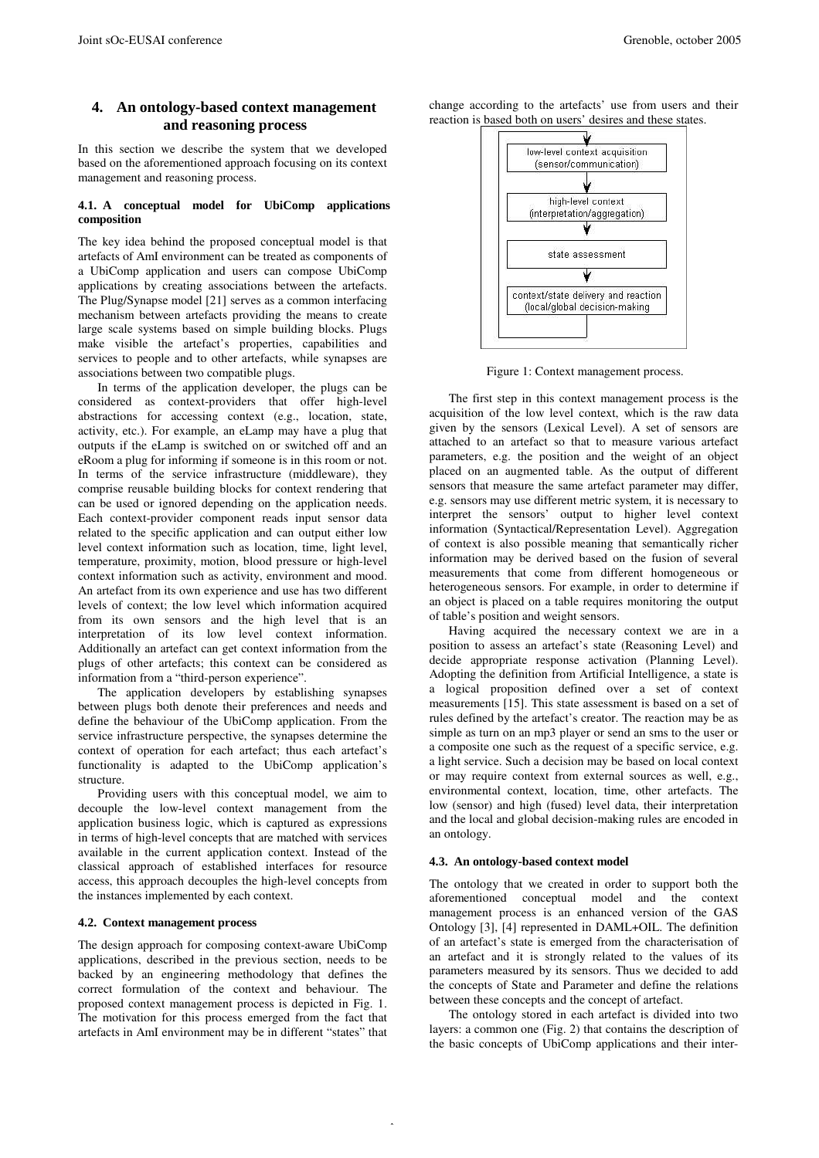# **4. An ontology-based context management and reasoning process**

In this section we describe the system that we developed based on the aforementioned approach focusing on its context management and reasoning process.

# **4.1. A conceptual model for UbiComp applications composition**

The key idea behind the proposed conceptual model is that artefacts of AmI environment can be treated as components of a UbiComp application and users can compose UbiComp applications by creating associations between the artefacts. The Plug/Synapse model [21] serves as a common interfacing mechanism between artefacts providing the means to create large scale systems based on simple building blocks. Plugs make visible the artefact's properties, capabilities and services to people and to other artefacts, while synapses are associations between two compatible plugs.

In terms of the application developer, the plugs can be considered as context-providers that offer high-level abstractions for accessing context (e.g., location, state, activity, etc.). For example, an eLamp may have a plug that outputs if the eLamp is switched on or switched off and an eRoom a plug for informing if someone is in this room or not. In terms of the service infrastructure (middleware), they comprise reusable building blocks for context rendering that can be used or ignored depending on the application needs. Each context-provider component reads input sensor data related to the specific application and can output either low level context information such as location, time, light level, temperature, proximity, motion, blood pressure or high-level context information such as activity, environment and mood. An artefact from its own experience and use has two different levels of context; the low level which information acquired from its own sensors and the high level that is an interpretation of its low level context information. Additionally an artefact can get context information from the plugs of other artefacts; this context can be considered as information from a "third-person experience".

The application developers by establishing synapses between plugs both denote their preferences and needs and define the behaviour of the UbiComp application. From the service infrastructure perspective, the synapses determine the context of operation for each artefact; thus each artefact's functionality is adapted to the UbiComp application's structure.

Providing users with this conceptual model, we aim to decouple the low-level context management from the application business logic, which is captured as expressions in terms of high-level concepts that are matched with services available in the current application context. Instead of the classical approach of established interfaces for resource access, this approach decouples the high-level concepts from the instances implemented by each context.

# **4.2. Context management process**

The design approach for composing context-aware UbiComp applications, described in the previous section, needs to be backed by an engineering methodology that defines the correct formulation of the context and behaviour. The proposed context management process is depicted in Fig. 1. The motivation for this process emerged from the fact that artefacts in AmI environment may be in different "states" that change according to the artefacts' use from users and their reaction is based both on users' desires and these states.



Figure 1: Context management process.

The first step in this context management process is the acquisition of the low level context, which is the raw data given by the sensors (Lexical Level). A set of sensors are attached to an artefact so that to measure various artefact parameters, e.g. the position and the weight of an object placed on an augmented table. As the output of different sensors that measure the same artefact parameter may differ, e.g. sensors may use different metric system, it is necessary to interpret the sensors' output to higher level context information (Syntactical/Representation Level). Aggregation of context is also possible meaning that semantically richer information may be derived based on the fusion of several measurements that come from different homogeneous or heterogeneous sensors. For example, in order to determine if an object is placed on a table requires monitoring the output of table's position and weight sensors.

Having acquired the necessary context we are in a position to assess an artefact's state (Reasoning Level) and decide appropriate response activation (Planning Level). Adopting the definition from Artificial Intelligence, a state is a logical proposition defined over a set of context measurements [15]. This state assessment is based on a set of rules defined by the artefact's creator. The reaction may be as simple as turn on an mp3 player or send an sms to the user or a composite one such as the request of a specific service, e.g. a light service. Such a decision may be based on local context or may require context from external sources as well, e.g., environmental context, location, time, other artefacts. The low (sensor) and high (fused) level data, their interpretation and the local and global decision-making rules are encoded in an ontology.

#### **4.3. An ontology-based context model**

p. 2 6 7

The ontology that we created in order to support both the aforementioned conceptual model and the context management process is an enhanced version of the GAS Ontology [3], [4] represented in DAML+OIL. The definition of an artefact's state is emerged from the characterisation of an artefact and it is strongly related to the values of its parameters measured by its sensors. Thus we decided to add the concepts of State and Parameter and define the relations between these concepts and the concept of artefact.

The ontology stored in each artefact is divided into two layers: a common one (Fig. 2) that contains the description of the basic concepts of UbiComp applications and their inter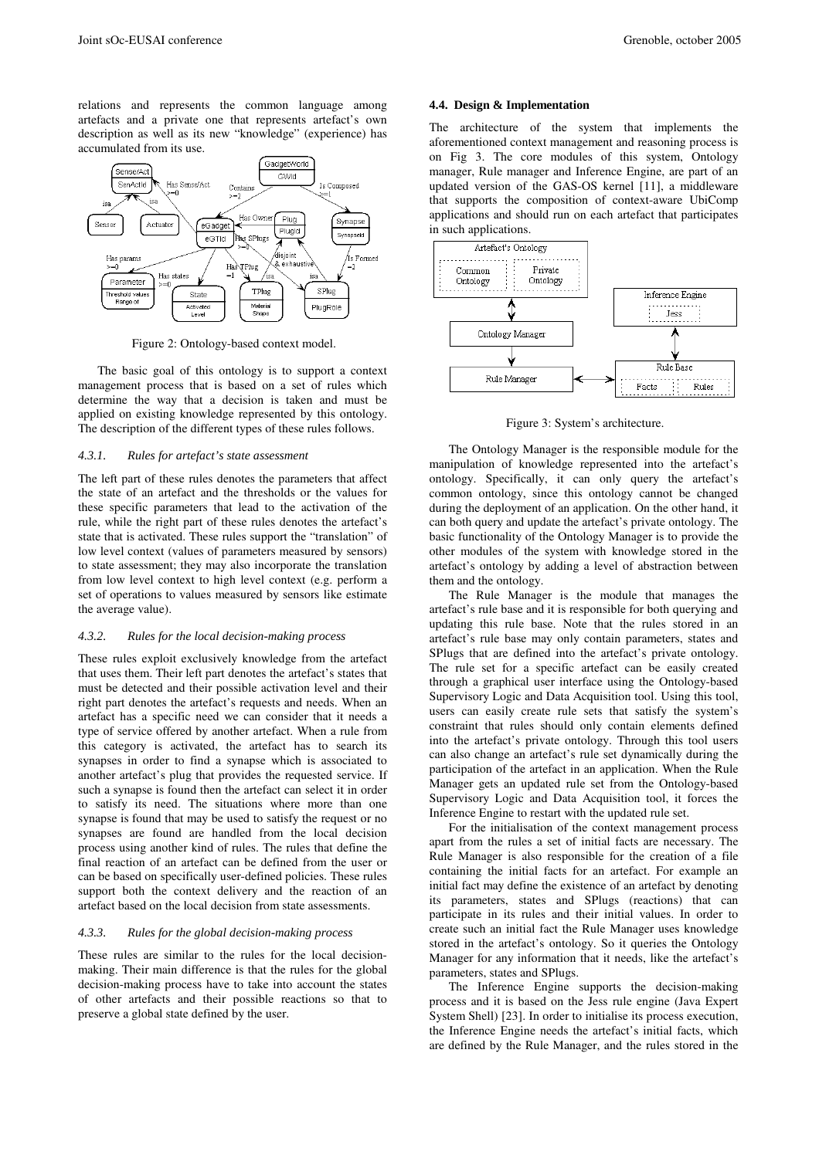relations and represents the common language among artefacts and a private one that represents artefact's own description as well as its new "knowledge" (experience) has accumulated from its use.



Figure 2: Ontology-based context model.

The basic goal of this ontology is to support a context management process that is based on a set of rules which determine the way that a decision is taken and must be applied on existing knowledge represented by this ontology. The description of the different types of these rules follows.

#### *4.3.1. Rules for artefact's state assessment*

The left part of these rules denotes the parameters that affect the state of an artefact and the thresholds or the values for these specific parameters that lead to the activation of the rule, while the right part of these rules denotes the artefact's state that is activated. These rules support the "translation" of low level context (values of parameters measured by sensors) to state assessment; they may also incorporate the translation from low level context to high level context (e.g. perform a set of operations to values measured by sensors like estimate the average value).

#### *4.3.2. Rules for the local decision-making process*

These rules exploit exclusively knowledge from the artefact that uses them. Their left part denotes the artefact's states that must be detected and their possible activation level and their right part denotes the artefact's requests and needs. When an artefact has a specific need we can consider that it needs a type of service offered by another artefact. When a rule from this category is activated, the artefact has to search its synapses in order to find a synapse which is associated to another artefact's plug that provides the requested service. If such a synapse is found then the artefact can select it in order to satisfy its need. The situations where more than one synapse is found that may be used to satisfy the request or no synapses are found are handled from the local decision process using another kind of rules. The rules that define the final reaction of an artefact can be defined from the user or can be based on specifically user-defined policies. These rules support both the context delivery and the reaction of an artefact based on the local decision from state assessments.

#### *4.3.3. Rules for the global decision-making process*

These rules are similar to the rules for the local decisionmaking. Their main difference is that the rules for the global decision-making process have to take into account the states of other artefacts and their possible reactions so that to preserve a global state defined by the user.

#### **4.4. Design & Implementation**

The architecture of the system that implements the aforementioned context management and reasoning process is on Fig 3. The core modules of this system, Ontology manager, Rule manager and Inference Engine, are part of an updated version of the GAS-OS kernel [11], a middleware that supports the composition of context-aware UbiComp applications and should run on each artefact that participates in such applications.



Figure 3: System's architecture.

The Ontology Manager is the responsible module for the manipulation of knowledge represented into the artefact's ontology. Specifically, it can only query the artefact's common ontology, since this ontology cannot be changed during the deployment of an application. On the other hand, it can both query and update the artefact's private ontology. The basic functionality of the Ontology Manager is to provide the other modules of the system with knowledge stored in the artefact's ontology by adding a level of abstraction between them and the ontology.

The Rule Manager is the module that manages the artefact's rule base and it is responsible for both querying and updating this rule base. Note that the rules stored in an artefact's rule base may only contain parameters, states and SPlugs that are defined into the artefact's private ontology. The rule set for a specific artefact can be easily created through a graphical user interface using the Ontology-based Supervisory Logic and Data Acquisition tool. Using this tool, users can easily create rule sets that satisfy the system's constraint that rules should only contain elements defined into the artefact's private ontology. Through this tool users can also change an artefact's rule set dynamically during the participation of the artefact in an application. When the Rule Manager gets an updated rule set from the Ontology-based Supervisory Logic and Data Acquisition tool, it forces the Inference Engine to restart with the updated rule set.

For the initialisation of the context management process apart from the rules a set of initial facts are necessary. The Rule Manager is also responsible for the creation of a file containing the initial facts for an artefact. For example an initial fact may define the existence of an artefact by denoting its parameters, states and SPlugs (reactions) that can participate in its rules and their initial values. In order to create such an initial fact the Rule Manager uses knowledge stored in the artefact's ontology. So it queries the Ontology Manager for any information that it needs, like the artefact's parameters, states and SPlugs.

The Inference Engine supports the decision-making process and it is based on the Jess rule engine (Java Expert System Shell) [23]. In order to initialise its process execution, the Inference Engine needs the artefact's initial facts, which are defined by the Rule Manager, and the rules stored in the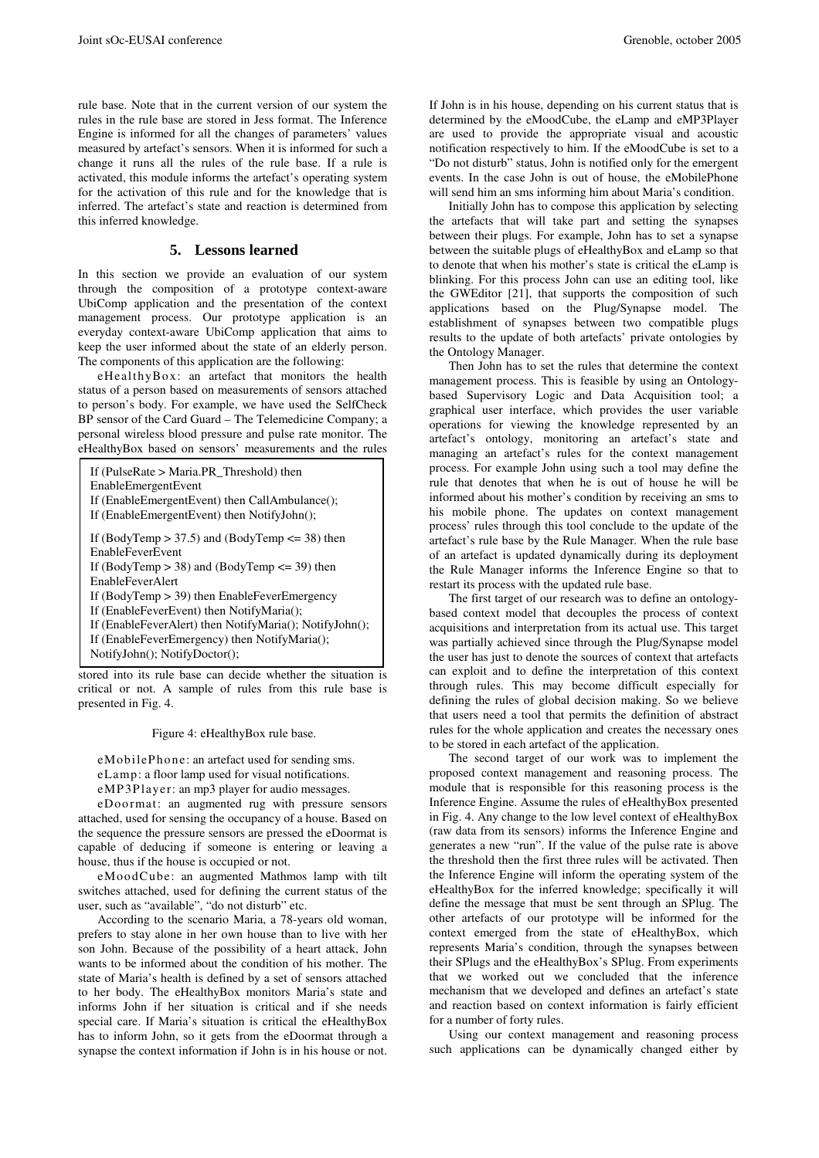rule base. Note that in the current version of our system the rules in the rule base are stored in Jess format. The Inference Engine is informed for all the changes of parameters' values measured by artefact's sensors. When it is informed for such a change it runs all the rules of the rule base. If a rule is activated, this module informs the artefact's operating system for the activation of this rule and for the knowledge that is inferred. The artefact's state and reaction is determined from this inferred knowledge.

## **5. Lessons learned**

In this section we provide an evaluation of our system through the composition of a prototype context-aware UbiComp application and the presentation of the context management process. Our prototype application is an everyday context-aware UbiComp application that aims to keep the user informed about the state of an elderly person. The components of this application are the following:

eHealthyBox: an artefact that monitors the health status of a person based on measurements of sensors attached to person's body. For example, we have used the SelfCheck BP sensor of the Card Guard – The Telemedicine Company; a personal wireless blood pressure and pulse rate monitor. The eHealthyBox based on sensors' measurements and the rules

If (PulseRate > Maria.PR\_Threshold) then EnableEmergentEvent If (EnableEmergentEvent) then CallAmbulance(); If (EnableEmergentEvent) then NotifyJohn(); If (BodyTemp  $> 37.5$ ) and (BodyTemp  $<= 38$ ) then EnableFeverEvent If (BodyTemp  $> 38$ ) and (BodyTemp  $\leq$  39) then EnableFeverAlert If (BodyTemp > 39) then EnableFeverEmergency If (EnableFeverEvent) then NotifyMaria(); If (EnableFeverAlert) then NotifyMaria(); NotifyJohn(); If (EnableFeverEmergency) then NotifyMaria(); NotifyJohn(); NotifyDoctor();

stored into its rule base can decide whether the situation is critical or not. A sample of rules from this rule base is presented in Fig. 4.

Figure 4: eHealthyBox rule base.

eMobilePhone: an artefact used for sending sms. eLamp: a floor lamp used for visual notifications. eMP3Player: an mp3 player for audio messages.

eDoormat: an augmented rug with pressure sensors attached, used for sensing the occupancy of a house. Based on the sequence the pressure sensors are pressed the eDoormat is capable of deducing if someone is entering or leaving a house, thus if the house is occupied or not.

eMoodCube: an augmented Mathmos lamp with tilt switches attached, used for defining the current status of the user, such as "available", "do not disturb" etc.

According to the scenario Maria, a 78-years old woman, prefers to stay alone in her own house than to live with her son John. Because of the possibility of a heart attack, John wants to be informed about the condition of his mother. The state of Maria's health is defined by a set of sensors attached to her body. The eHealthyBox monitors Maria's state and informs John if her situation is critical and if she needs special care. If Maria's situation is critical the eHealthyBox has to inform John, so it gets from the eDoormat through a synapse the context information if John is in his house or not.

If John is in his house, depending on his current status that is determined by the eMoodCube, the eLamp and eMP3Player are used to provide the appropriate visual and acoustic notification respectively to him. If the eMoodCube is set to a "Do not disturb" status, John is notified only for the emergent events. In the case John is out of house, the eMobilePhone will send him an sms informing him about Maria's condition.

Initially John has to compose this application by selecting the artefacts that will take part and setting the synapses between their plugs. For example, John has to set a synapse between the suitable plugs of eHealthyBox and eLamp so that to denote that when his mother's state is critical the eLamp is blinking. For this process John can use an editing tool, like the GWEditor [21], that supports the composition of such applications based on the Plug/Synapse model. The establishment of synapses between two compatible plugs results to the update of both artefacts' private ontologies by the Ontology Manager.

Then John has to set the rules that determine the context management process. This is feasible by using an Ontologybased Supervisory Logic and Data Acquisition tool; a graphical user interface, which provides the user variable operations for viewing the knowledge represented by an artefact's ontology, monitoring an artefact's state and managing an artefact's rules for the context management process. For example John using such a tool may define the rule that denotes that when he is out of house he will be informed about his mother's condition by receiving an sms to his mobile phone. The updates on context management process' rules through this tool conclude to the update of the artefact's rule base by the Rule Manager. When the rule base of an artefact is updated dynamically during its deployment the Rule Manager informs the Inference Engine so that to restart its process with the updated rule base.

The first target of our research was to define an ontologybased context model that decouples the process of context acquisitions and interpretation from its actual use. This target was partially achieved since through the Plug/Synapse model the user has just to denote the sources of context that artefacts can exploit and to define the interpretation of this context through rules. This may become difficult especially for defining the rules of global decision making. So we believe that users need a tool that permits the definition of abstract rules for the whole application and creates the necessary ones to be stored in each artefact of the application.

The second target of our work was to implement the proposed context management and reasoning process. The module that is responsible for this reasoning process is the Inference Engine. Assume the rules of eHealthyBox presented in Fig. 4. Any change to the low level context of eHealthyBox (raw data from its sensors) informs the Inference Engine and generates a new "run". If the value of the pulse rate is above the threshold then the first three rules will be activated. Then the Inference Engine will inform the operating system of the eHealthyBox for the inferred knowledge; specifically it will define the message that must be sent through an SPlug. The other artefacts of our prototype will be informed for the context emerged from the state of eHealthyBox, which represents Maria's condition, through the synapses between their SPlugs and the eHealthyBox's SPlug. From experiments that we worked out we concluded that the inference mechanism that we developed and defines an artefact's state and reaction based on context information is fairly efficient for a number of forty rules.

Using our context management and reasoning process such applications can be dynamically changed either by